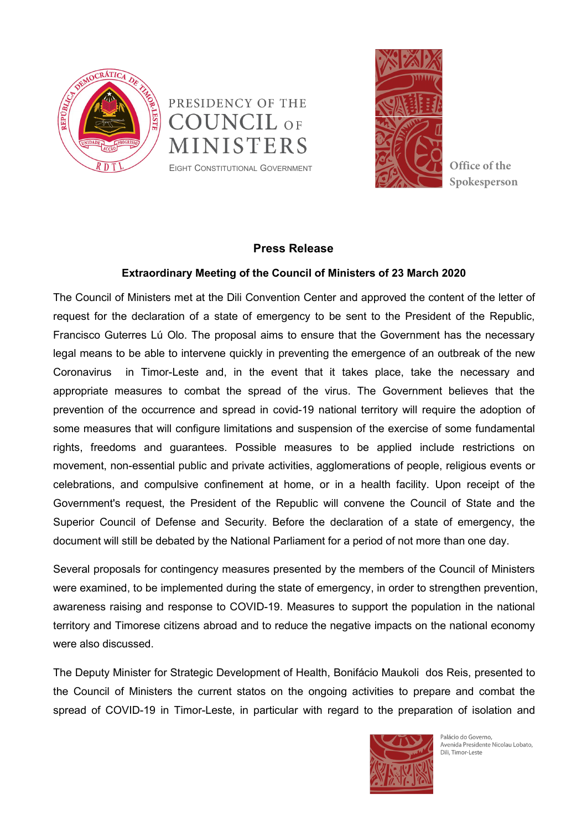





**Spokesperson**

## **Press Release**

## **Extraordinary Meeting of the Council of Ministers of 23 March 2020**

The Council of Ministers met at the Dili Convention Center and approved the content of the letter of request for the declaration of a state of emergency to be sent to the President of the Republic, Francisco Guterres Lú Olo. The proposal aims to ensure that the Government has the necessary legal means to be able to intervene quickly in preventing the emergence of an outbreak of the new Coronavirus in Timor-Leste and, in the event that it takes place, take the necessary and appropriate measures to combat the spread of the virus. The Government believes that the prevention of the occurrence and spread in covid-19 national territory will require the adoption of some measures that will configure limitations and suspension of the exercise of some fundamental rights, freedoms and guarantees. Possible measures to be applied include restrictions on movement, non-essential public and private activities, agglomerations of people, religious events or celebrations, and compulsive confinement at home, or in a health facility. Upon receipt of the Government's request, the President of the Republic will convene the Council of State and the Superior Council of Defense and Security. Before the declaration of a state of emergency, the document will still be debated by the National Parliament for a period of not more than one day.

Several proposals for contingency measures presented by the members of the Council of Ministers were examined, to be implemented during the state of emergency, in order to strengthen prevention, awareness raising and response to COVID-19. Measures to support the population in the national territory and Timorese citizens abroad and to reduce the negative impacts on the national economy were also discussed.

The Deputy Minister for Strategic Development of Health, Bonifácio Maukoli dos Reis, presented to the Council of Ministers the current statos on the ongoing activities to prepare and combat the spread of COVID-19 in Timor-Leste, in particular with regard to the preparation of isolation and



Palácio do Governo. Avenida Presidente Nicolau Lobato, Dili, Timor-Leste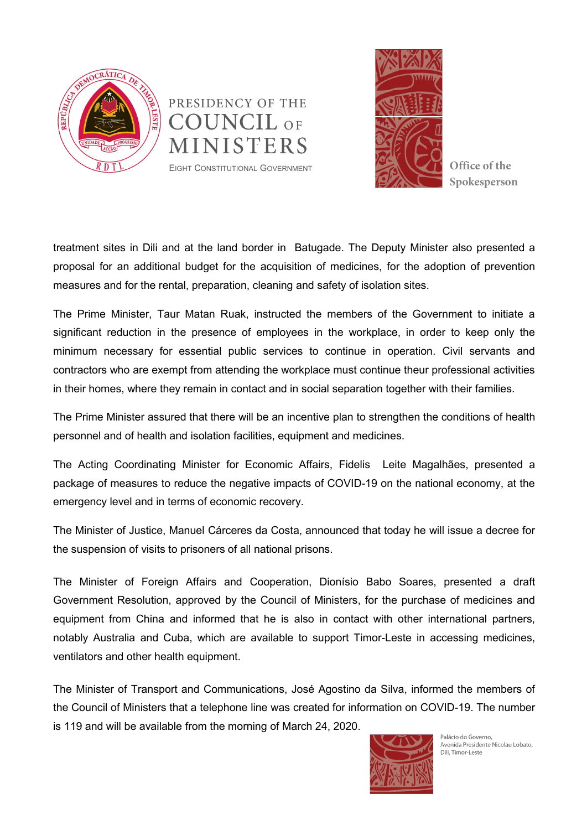





**Spokesperson**

treatment sites in Dili and at the land border in Batugade.The Deputy Minister also presented a proposal for an additional budget for the acquisition of medicines, for the adoption of prevention measures and for the rental, preparation, cleaning and safety of isolation sites.

The Prime Minister, Taur Matan Ruak, instructed the members of the Government to initiate a significant reduction in the presence of employees in the workplace, in order to keep only the minimum necessary for essential public services to continue in operation. Civil servants and contractors who are exempt from attending the workplace must continue theur professional activities in their homes, where they remain in contact and in social separation together with their families.

The Prime Minister assured that there will be an incentive plan to strengthen the conditions of health personnel and of health and isolation facilities, equipment and medicines.

The Acting Coordinating Minister for Economic Affairs, Fidelis Leite Magalhães, presented a package of measures to reduce the negative impacts of COVID-19 on the national economy, at the emergency level and in terms of economic recovery.

The Minister of Justice, Manuel Cárceres da Costa, announced that today he will issue a decree for the suspension of visits to prisoners of all national prisons.

The Minister of Foreign Affairs and Cooperation, Dionísio Babo Soares, presented a draft Government Resolution, approved by the Council of Ministers, for the purchase of medicines and equipment from China and informed that he is also in contact with other international partners, notably Australia and Cuba, which are available to support Timor-Leste in accessing medicines, ventilators and other health equipment.

The Minister of Transport and Communications, José Agostino da Silva, informed the members of the Council of Ministers that a telephone line was created for information on COVID-19. The number is 119 and will be available from the morning of March 24, 2020.



Palácio do Governo. Avenida Presidente Nicolau Lobato, Dili, Timor-Leste